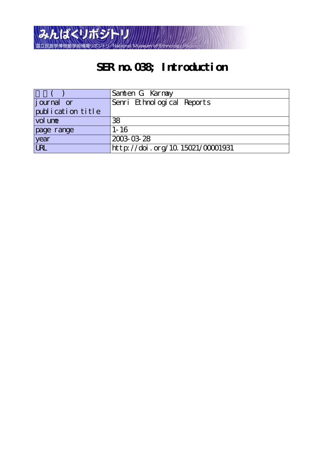

# **SER no.038; Introduction**

|                    | Samten G Karmay                  |
|--------------------|----------------------------------|
| <i>j</i> ournal or | Senri Ethnological Reports       |
| publication title  |                                  |
| vol une            | 38                               |
| page range         | $1 - 16$                         |
| year               | 2003-03-28                       |
| URL                | http://doi.org/10.15021/00001931 |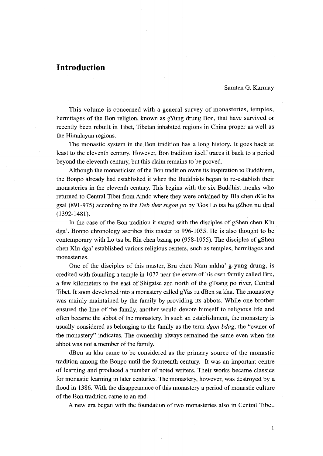# Introduction

Samten G. Karmay

 This volume is concerned with a general survey of monasteries, temples, hermitages of the Bon religion, known as gYung drung Bon, that have survived or recently been rebuilt in Tibet, Tibetan inhabited regions in China proper as well as the Himalayan regions.

 The monastic system in the.Bon tradition has a long history. It goes back at least to the eleventh century. However, Bon tradition itself traces it back to a period beyond the eleventh century, but this claim remains to be proved.

Although the monasticism of the Bon tradition owns its inspiration to Buddhism, the Bonpo already had established it when the Buddhists began to re-establish their monasteries in the eleventh century. This begins with the six Buddhist monks who returned to Central Tibet from Amdo where they were ordained by Bla chen dGe ba gsal (891-975) according to the Deb ther sngon po by 'Gos Lo tsa ba gZhon nu dpal (1392-1481).

 In the case of the Bon tradition it started with the disciples of gShen chen Klu dga'. Bonpo chronology ascribes this master to 996-1035. He is also thought to be contemporary with Lo tsa ba Rin chen bzang po (958-1055). The disciples of gShen chen Klu dga' established various religious centers, such as temples, hermitages and monasteries.

 One of the disciples of this master, Bru chen Nam mkha' g-yung drung, is credited with founding a temple in 1072 near the estate of his own family called Bru, a few kilometers to the east of Shigatse and north of the gTsang po river, Central Tibet. It soon developed into a monastery called gYas ru dBen sa kha. The monastery was mainly maintained by the family by providing its abbots. While one brother ensured the line of the family, another would devote himself to religious life and often became the abbot of the monastery. In such an establishment, the monastery is usually considered as belonging to the family as the term *dgon bdag*, the "owner of the monastery" indicates. The ownership always remained the same even when the abbot was not a member of the family.

 dBen sa kha came to be considered as the primary source of the monastic tradition among the Bonpo until the fburteenth century. It was an important centre of learning and produced a number of noted writers, Their works became classics for monastic learning in later centuries. The monastery, however, was destroyed by a flood in 1386. With the disappearance of this monastery a period of monastic culture of the Bon tradition came to an end.

A new era began with the foundation of two monasteries also in Central Tibet.

l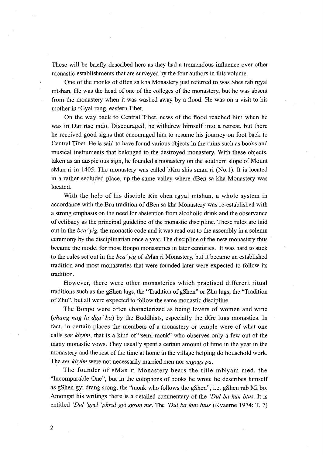These will be briefiy described here as they had a tremendous influence over other monastic establishments that are surveyed by the four authors in this volume.

 0ne of the monks of dBen sa kha Monastery just referred to was Shes rab rgyal mtshan. He was the head of one of the colleges of the monastery, but he was absent from the monastery when it was washed away by a fiood. He was on a visit to his mother in rGyal rong, eastern Tibet.

 On the way back to Central Tibet, news of the flood reached him when he was in Dar rtse mdo. Discouraged, he withdrew himself into a retreat, but there he received good signs that encouraged him to resume his journey on foot back to Central Tibet. He is said to have found various objects in the ruins such as books and musical instruments that belonged to the destroyed monastery. With these objects, taken as an auspicious sign, he founded a monastery on the southern slope of Mount sMan ri in 1405. The monastery was called bKra shis sman ri (No.1). It is located in a rather secluded place, up the same valley where dBen sa kha Monastery was located.

 With the help of his disciple Rin chen rgyal mtshan, a whole system in accordance with the Bru tradition of dBen sa kha Monastery was re-established with a strong emphasis on the need for abstention from alcoholic drink and the observance of celibacy as the principal guideline of the monastic discipline. These rules are laid out in the bca 'yig, the monastic code and it was read out to the assembly in a solemn ceremony by the disciplinarian once a year. The discipline of the new monastery thus became the model for most Bonpo monasteries in later centuries. It was hard to stick to the rules set out in the  $bca'yig$  of sMan ri Monastery, but it became an established tradition and most monasteries that were founded later were expected to fo11ow its tradition.

 However, there were other monasteries which practised different ritual traditions such as the gShen lugs, the "Tradition ofgShen" or Zhu lugs, the "Tradition ofZhu", but all were expected to fbllow the same monastic discipline.

 The Bonpo were often characterized as being lovers of women and wine (chang nag la dga 'ba) by the Buddhists, especially the dGe lugs monastics. In fact, in certain places the members of a monastery or temple were of what one calls ser khyim, that is a kind of "semi-monk" who observes only a few out of the many monastic vows. They usually spent a certain amount of time in the year in the monastery and the rest of the time at home in the village helping do household work. The ser khyim were not necessarily married men nor sngags pa.

 The founder of sMan ri Monastery bears the title mNyam med, the "Incomparable One", but in the colophons of books he wrote he describes himself as gShen gyi drang srong, the "monk who fo11ows the gShen", i.e. gShen rab Mi bo. Amongst his writings there is a detailed commentary of the 'Dul ba kun btus. It is entitled 'Dul 'grel 'phrul gyi sgron me. The 'Dul ba kun btus (Kvaerne 1974: T. 7)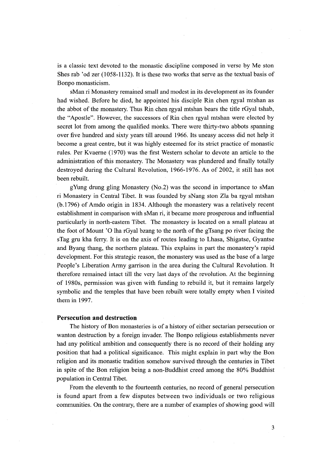is a classic text devoted to the monastic discipline composed in verse by Me ston Shes rab 'od zer (1058-1132). It is these two wotks that serve as the textual basis of Bonpo monasticism.

sMan ri Monastery remained small and modest in its development as its founder had wished. Before he died, he appointed his disciple Rin chen rgyal mtshan as the abbot of the monastery. Thus Rin chen rgyal mtshan bears the title rGyal tshab, the "Apostle". However, the successors of Rin chen rgyal mtshan were elected by secret lot from among the qualified monks. There were thirty-two abbots spanning over five hundred and sixty years till around 1966. Its uneasy access did not help it become a great centre, but it was highly esteemed for its strict practice of monastic rules. Per Kvaerne (1970) was the first Western scholar to devote an article to the administration of this monastery. The Monastery was plundered and finally totally destroyed during the Cultural Revolution, 1966-1976. As of 2002, it still has not been rebuilt.

 gYung drung gling Monastery (No.2) was the second in importance to sMan ri Monastery in Central Tibet. It was founded by sNang ston Zla ba rgyal mtshan  $(b.1796)$  of Amdo origin in 1834. Although the monastery was a relatively recent establishment in comparison with sMan ri, it became more prosperous and influential particularly in north-eastern Tibet. The monastery is located on a small plateau at the foot of Mount 'O lha rGyal bzang to the north of the gTsang po river facing the sTag gru kha ferry. It is on the axis of routes leading to Lhasa, Shigatse, Gyantse and Byang thang, the northern plateau. This explains in part the monastery's rapid development. For this strategic reason, the monastery was used as the base of a large People's Liberation Army garrison in the area during the Cuitural Revolution. It therefbre remained intact till the very last days of the revolution. At the beginning of 1980s, permission was given with funding to rebuild it, but it remains largely symbolic and the temples that have been rebuilt were totally empty when I visited them in 1997.

#### Persecution and destruction

The history of Bon monasteries is of a history of either sectarian persecution or wanton destruction by a foreign invader. The Bonpo religious establishments never had any political ambition and consequently there is no record of their holding any position that had a political significance. This might explain in part why the Bon religion and its monastic tradition somehow survived through the centuries in Tibet in spite of the Bon religion being a non-Buddhist creed among the 80% Buddhist population in Central Tibet.

From the eleventh to the fourteenth centuries, no record of general persecution is found apart from a few disputes between two individuals or two religious communities. On the contrary, there are a number of examples of showing good will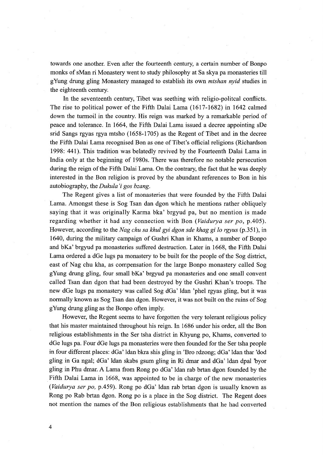towards one another. Even after the fourteenth century, a certain number of Bonpo monks of sMan ri Monastery went to study philosophy at Sa skya pa monasteries till gYUng drung gling Monastery managed to establish its own mtshan ayid studies in the eighteenth century.

 In the seventeenth century, Tibet was seething with religio-politcal confiicts. The rise to political power of the Fifth Dalai Lama (1617-1682) in 1642 calmed down the turmoil in the country. His reign was marked by a remarkable period of peace and tolerance. In 1664, the Fifth Dalai Lama issued a decree appointing sDe srid Sangs rgyas rgya mtsho (1658-1705) as the Regent of Tibet and in the decree the Fifth Dalai Larna recognised Bon as one of Tibet's official religions (Richardson 1998: 441). This tradition was belatedly revived by the Fourteenth Dalai Lama in India only at the beginning of 1980s. There was therefore no notable persecution during the reign of the Fifth Dalai Lama. On the contrary, the fact that he was deeply interested in the Bon religion is proved by the abundant references to Bon in his autobiography, the Dukula 'i gos bzang.

The Regent gives a list of monasteries that were founded by the Fifth Dalai Lama. Amongst these is Sog Tsan dan dgon which he mentions rather obliquely saying that it was originally Karma bka' brgyud pa, but no mention is made regarding whether it had any connection with Bon (Vaidurya ser po, p.405). However, according to the Nag chu sa khul gyi dgon sde khag gi lo rgyus (p.351), in 1640, during the military campaign of Gushri Khan in Khams, a number of Bonpo and bKa' brgyud pa monasteries suffered destruction. Later in 1668, the Fifth Dalai Lama ordered a dGe lugs pa monastery to be built for the people of the Sog district, east of Nag chu kha, as compensation for the large Bonpo monastery called Sog gYung drung gling, four small bKa' brgyud pa monasteries and one small convent called Tsan dan dgon that had been destroyed by the Gushri Khan's troops. The new dGe lugs pa monastery was called Sog dGa' ldan 'phel rgyas gling, but it was normally known as Sog Tsan dan dgon. However, it was not built on the ruins of Sog gYung drung gling as the Bonpo often imply.

 However, the Regent seems to have forgotten the very tolerant religious policy that his master maintained throughout his reign. In 1686 under his order, all the Bon religious establishments in the Ser tsha district in Khyung po, Khams, converted to dGe lugs pa. Four dGe lugs pa monasteries were then founded for the Ser tsha people in fbur different places: dGa' ldan bkra shis gling in 'Bro rdzong; dGa' ldan thar 'dod gling in Ga ngal; dGa' ldan skabs gsum gling in Ri dmar and dGa' ldan dpal byor gling in Phu dmar. A Lama from Rong po dGa' ldan rab brtan dgon founded by the Fifth Dalai Lama in 1668, was appointed to be in charge of the new monasteries (Vaidurya ser po, p.459). Rong po dGa' ldan rab brtan dgon is usually known as Rong po Rab brtan dgon. Rong po is a place in the Sog district. The Regent does not mention the names of the Bon religious establishments that he had converted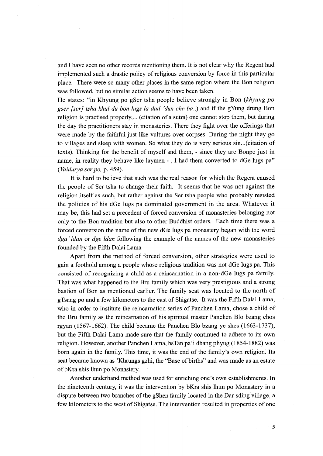and I have seen no other records mentioning them. It is not clear why the Regent had implemented such a drastic policy of religious conversion by force in this particular place. There were so many other places in the same region where the Bon religion was followed, but no similar action seems to have been taken.

He states: "in Khyung po gSer tsha people believe strongly in Bon (khyung po gser [ser] tsha khul du bon lugs la dad 'dun che ba..) and if the gYung drung Bon religion is practised properly,... (citation of a sutra) one cannot stop them, but during the day the practitioners stay in monasteries. There they fight over the offerings that were made by the faithful just like vultures over corpses. During the night they go to villages and sleep with women. So what they do is very serious sin...(citation of texts). Thinking for the benefit of myself and them, - since they are Bonpo just in name, in reality they behave like laymen -, I had them converted to dGe lugs pa" (Vaidurya ser po, p. 459).

 It is hard to believe that such was the real reason for which the Regent caused the people of Ser tsha to change their faith. It seems that he was not against the religion itself as such, but rather against the Ser tsha people who probably resisted the policies of his dGe lugs pa dominated government in the area. Whatever it may be, this had set a precedent of forced conversion of monasteries belonging not only to the Bon tradition but also to other Buddhist orders. Each time there was a forced conversion the name of the new dGe lugs pa monastery began with the word dga' ldan or dge ldan following the example of the names of the new monasteries founded by the Fifth Dalai Lama.

 Apart from the method of fbrced conversion, other strategies were used to gain a foothold among a people whose religious tradition was not dGe lugs pa. This consisted of recognizing a child as a reincamation in a non-dGe lugs pa family. That was what happened to the Bru family which was very prestigious and a strong bastion of Bon as mentioned earlier. The family seat was located to the north of gTsang po and a few kilometers to the east of Shigatse. It was the Fifth Dalai Lama, who in order to institute the reincarnation series of Panchen Lama, chose a child of the Bru family as the reincarnation of his spiritual master Panchen Blo bzang chos rgyan (1567-1662). The child became the Panchen Blo bzang ye shes (1663-1737), but the Fifth Dalai Lama made sure that the family continued to adhere to its own religion. However, another Panchen Lama, bs'fan pa'i dbang phyug (1854-1882) was born again in the family. This time, it was the end of the family's own religion. Its seat became known as 'Khrungs gzhi, the "Base of births" and was made as an estate of bKra shis lhun po Monastery.

 Another underhand method was used for enriching one's own establishments. In the nineteenth century, it was the intervention by bKra shis lhun po Monastery in a dispute between two branches of the gShen family located in the Dar sding village, a few kilometers to the west of Shigatse. The intervention resuked in properties of one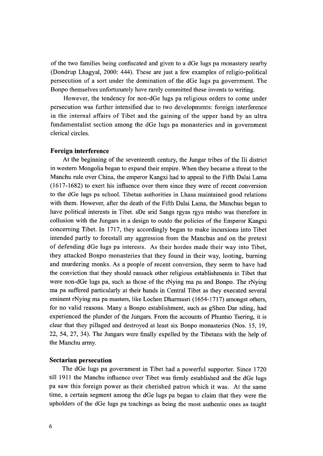of the two families being confiscated and given to a dGe lugs pa monastery nearby (Dondrup Lhagyal, 2000: 444). These are just a few examples of religio-political persecution of a sort under the domination of the dGe lugs pa government. The Bonpo themselves unfortunately have rarely committed these invents to writing.

However, the tendency for non-dGe lugs pa religious orders to come under persecution was further intensified due to two developments: foreign interference in the internal affairs of Tibet and the gaining of the upper hand by an ultra fundamentalist section among the dGe lugs pa monasteries and in government clerical circles.

# Foreign interference

 At the beginning of the seventeenth century, the Jungar tribes of the Ili district in western Mongolia began to expand their empire. When they became a threat to the Manchu rule over China, the emperor Kangxi had to appeal to the Fifth Dalai Lama (1617-1682) to exert his infiuence over them since they were of recent conversion to the dGe lugs pa school. Tibetan authorities in Lhasa maintained good relations with them. However, after the death of the Fifth Dalai Lama, the Manchus began to have political interests in Tibet. sDe srid Sangs rgyas rgya mtsho was therefore in collusion with the Jungars in a design to outdo the policies of the Emperor Kangxi concerning Tibet. In 1717, they accordingly began to make incursions into Tibet intended partly to forestall any aggression from the Manchus and on the pretext of defending dGe lugs pa interests. As their hordes made their way into Tibet, they attacked Bonpo monasteries that they found in their way, looting, burning and murdering monks. As a people of recent conversion, they seem to have had the conviction that they should ransack other religious establislments in Tibet that were non-dGe lugs pa, such as those of the rNying ma pa and Bonpo. The rNying ma pa suffered particularly at their hands in Central Tibet as they executed several eminent rNying ma pa masters, like Lochen Dharmasri (1654-1717) amongst others, for no valid reasons. Many a Bonpo establishment, such as gShen Dar sding, had experienced the plunder of the Jungars. From the accounts of Phuntso Tsering, it is clear that they pillaged and destroyed at least six Bonpo monasteries (Nos. 15, 19, 22, 54, 27, 34). The Jungars were finally expelled by the Tibetans with the help of the Manchu army.

#### Sectarian persecution

The dGe lugs pa government in Tibet had a powerful supporter. Since 1720 till 1911 the Manchu infiuence over Tibet was firmly established and the dGe lugs pa saw this foreign power as their cherished patron which it was. At the same time, a certain segment among the dGe lugs pa began to claim that they were the upholders of the dGe lugs pa teachings as being the most authentic ones as taught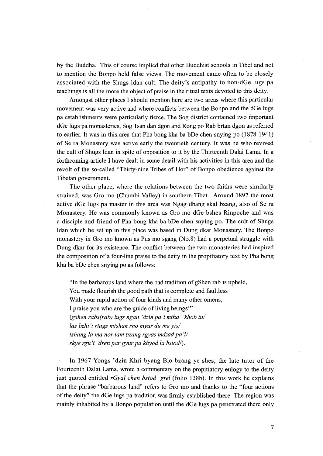by the Budcha. This of course implied that other Buddhist schools in Tibet and not to mention the Bonpo held false views. The movement came often to be closely associated with the Shugs ldan cult. The deity's antipathy to non-dGe lugs pa teachings is all the more the object of praise in the ritual texts devoted to this deity.

 Amongst other places I should mention here are two areas where this particular movement was very active and where confiicts between the Bonpo and the dGe lugs pa establishments were particularly fierce. The Sog district contained two important dGe lugs pa monasteries, Sog Tsan dan dgon and Rong po Rab brtan dgon as referred to earlier. It was in this. area that Pha bong kha ba bDe chen snying po (1878-194l) of Se ra Monastery was active early the twentieth century. It was he who revived the cult of Shugs ldan in spite of opposition to it by the Thirteenth Dalai Lama. In a forthcoming article I have dealt in some detail with his activities in this area and the revolt of the so-called "Thirty-nine Tribes of Hor" of Bonpo obedience against the Tibetan government.

 The other place, where the relations between the two faiths were similarly strained, was Gro mo (Chumbi Valley) in southern Tibet. Around 1897 the most active dGe lugs pa master in this area was Ngag dbang skal bzang, also of Se ra Monastery. He was commonly known as Gro mo dGe bshes Rinpoche and was a disciple and firiend of Pha bong kha ba bDe chen snying po. The cult of Shugs ldan which he set up in this place was based in Dung dkar Monastery. The Bonpo monastery in Gro mo known as Pus mo sgang (No.8) had a perpetual struggle with Dung dkar for its existence. The conflict between the two monasteries had inspired the composition of a four-line praise to the deity in the propitiatory text by Pha bong kha ba bDe chen snying po as follows:

"In the barbarous land where the bad tradition of gShen rab is upheld, You made flourish the good path that is complete and faultless With your rapid action of four kinds and many other omens, I praise you who are the guide of living beings!" (gshen rabs(rab) lugs ngan 'dzin pa'i mtha' 'khob tu/  $las$  bzhi'i rtags mtshan rno myur du ma yis/ tshang la ma nor lam bzang rgyas mdzad pa'i/ skye rgu'i 'dren par gyur pa khyod la bstod/).

In 1967 Yongs 'dzin Khri byang Blo bzang ye shes, the late tutor of the Fourteenth Dalai Lama, wrote a commentary on the propitiatory eulogy to the deity just quoted entitled  $rGyal$  chen bstod 'grel (folio 138b). In this work he explains that the phrase "barbarous land" refers to Gro mo and thanks to the "four actions of the deity" the dGe lugs pa tradition was firmly established there. The region was mainly inhabited by a Bonpo population until the dGe lugs pa penetrated there only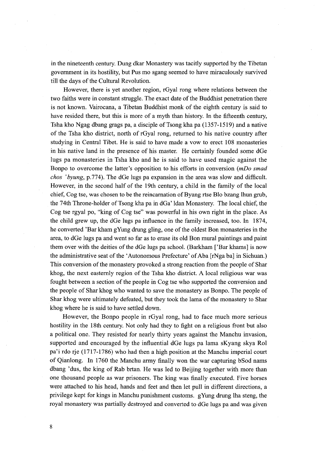in the nineteenth century. Dung dkar Monastery was tacitly supported by the Tibetan government in its hostility, but Pus mo sgang seemed to have miraculously survived till the days of the Cultural Revolution.

 However, there is yet another region, rGyal rong where relations between the two faiths were in constant stmggle. The exact date of the Buddhist penetration there is not known. Vairocana, a Tibetan Buddhist monk of the eighth century is said to have resided there, but this is more of a myth than history. In the fifteenth century, Tsha kho Ngag dbang grags pa, a disciple of Tsong kha pa (1357-1519) and a native of the Tsha kho district, north of rGyal rong, returned to his native country after studying in Central Tibet. He is said to have made a vow to erect 108 monasteries in his native land in the presence of his master. He certainly founded some dGe lugs pa monasteries in Tsha kho and he is said to have used magic against the Bonpo to overcome the latter's opposition to his efforts in conversion (mDo smad chos 'byung, p.774). The dGe lugs pa expansion in the area was slow and difficult. However, in the second half of the 19th century, a child in the family of the local chief, Cog tse, was chosen to be the reincarnation of Byang rtse Blo bzang lhun grub, the 74th Throne-holder of Tsong kha pa in dGa' ldan Monastery. The local chief, the Cog tse rgyal po, "king of Cog tse" was powerfu1 in his own right in the place. As the child grew up, the dGe lugs pa infiuence in the family increased, too. In 1874, he converted 'Bar kham gYung drung gling, one of the oldest Bon monasteries in the area, to dGe lugs pa and went so far as to erase its old Bon mural paintings and paint them over with the deities of the dGe lugs pa school. (Barkham ['Bar khamsl is now the administrative seat of the 'Autonomous Prefecture' of Aba [rNga ba] in Sichuan.) This conversion of the monastery provoked a strong reaction from the people of Shar khog, the next easternly region of the Tsha kho district. A local religious war was fought between a section of the people in Cog tse who supported the conversion and the people of Shar khog who wanted to save the monastery as Bonpo. The people of Shar khog were ultimately defeated, but they took the lama ofthe monastery to Shar khog where he is said to have settled down.

 However, the Bonpo people in rGyal rong, had to face much more serious hostility in the l8th century. Not only had they to fight on a religious front but also a political one. They resisted for nearly thirty years against the Manchu invasion, supported and encouraged by the influential dGe lugs pa lama sKyang skya Rol pa'i rdo rje (1717-1786) who had then a high position at the Manchu imperial court of Qianlong. In 1760 the Manchu army finally won the war capturing bSod nams dbang 'dus, the king of Rab brtan. He was led to Beijing together with more than one thousand people as war prisoners. The king was finally executed. Five horses were attached to his head, hands and feet and then let pull in different directions, a privilege kept for kings in Manchu punishment customs. gYung drung lha steng, the royal monastery was partially destroyed and converted to dGe lugs pa and was given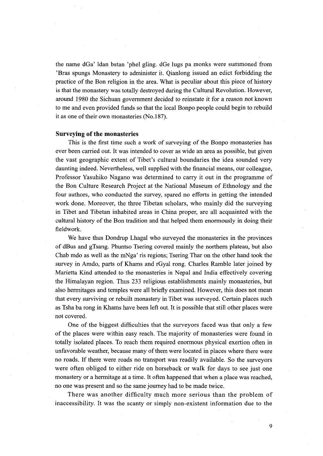the name dGa' ldan bstan 'phel gling. dGe lugs pa monks were summoned from 'Bras spungs Monastery to administer it. Qianlong issued an edict forbidding the practice of the Bon religion in the area. What is peculiar about this piece of history is that the monastery was totally destroyed during the Cultural Revolution. However, around 1980 the Sichuan govemment decided to reinstate it for a reason not known to me and even provided funds so that the local Bonpo people could begin to rebuild it as one of their own monasteries (No.187).

#### Surveying of the monasteries

 This is the first time such a work of surveying of the Bonpo monasteries has ever been carried out. It was intended to cover as wide an area as possible, but given the vast geographic extent of Tibet's cultural boundaries the idea sounded very daunting indeed. Nevertheless, well supplied with the financial means, our colleague, Professor Yasuhiko Nagano was determined to carry it out in the programme of the Bon Culture Research Project at the National Museum of Ethnology and the four authors, who conducted the survey, spared no efforts in getting the intended work done. Moreover, the three Tibetan scholars, who mainly did the surveying in Tibet and Tibetan inhabited areas in China proper, are all acquainted with the cultural history of the Bon tradition and that helped them enormously in doing their fieldwork.

 We have thus Dondrup Lhagal who surveyed the monasteries in the provinces of dBus and gTsang. Phuntso Tsering covered mainly the northern plateau, but also Chab mdo as well as the mNga' ris regions; Tsering Thar on the other hand took the survey in Amdo, parts of Khams and rGyal rong. Charles Ramble later joined by Marietta Kind attended to the monasteries in Nepai and India effectively covering the Himalayan region. Thus 233 religious establishments mainly monasteries, but also hetmitages and temples were all briefly examined. However, this does not mean that every surviving or rebuilt monastery in Tibet was surveyed. Certain places such as Tsha ba rong in Khams have been left out. It is possible that still other places were not covered.

 One of the biggest difficulties that the surveyors faced was that only a few of the places were within easy reach. The majority of monasteries were found in totally isolated places. To reach them reguired enormous physical exertion often in unfavorable weather, because many of them were located in places where there were no roads. If there were roads no transport was readily available. So the surveyors were often obliged to either ride on horseback or walk for days to see just one monastery or a hermitage at a time. It often happened that when a place was reached, no one was present and so the same journey had to be made twice.

 There was another difliculty much more serious than the problem of inaccessibility. It was the scanty or simply non-existent information due to the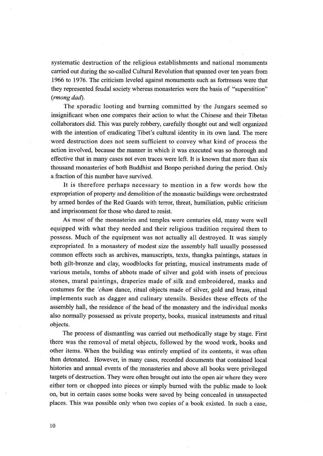systematic destruction of the religious establishments and national monuments carried out during the so-called Cultural Revolution that spanned over ten years from 1966 to 1976. The criticism leveled against monuments such as fbrtresses were that they represented feudal society whereas monasteries were the basis of "superstition" (rmong dud).

 The sporadic looting and burning committed by the Jungars seemed so insignificant when one compares their action to what the Chinese and their Tibetan collaborators did. This was purely robbery, carefu11y thought out and well organized with the intention of eradicating Tibet's cultural identity in its own land. The mere word destruction does not seem suflicient to convey what kind of process the action involved, because the manner in which it was executed was so thorough and effective that in many cases not even traces were left. It is known that more than six thousand monasteries of both Buddhist and Bonpo perished during the period. Only a fraction of this number have survived.

 It is therefore perhaps necessary to mention in a few words how the expropriation of property and demolition of the monastic buildings were orchestrated by armed hordes of the Red Guards with terror, threat, humiliation, public criticism and imprisonment for those who dared to resist.

 As most of the monasteries and temples were centuries old, many were well equipped with what they needed and their religious tradition required them to possess. Much of the equipment was not actually all destroyed. It was simply expropriated. In a monastery of modest size the assembly hall usually possessed common effects such as archives, manuscripts, texts, thangka paintings, statues in both gilt-bronze and clay, woodblocks for printing, musical instruments made of various metals, tombs of abbots made of silver and gold with insets of precious stones, mural paintings, draperies made of silk and embroidered, masks and costumes for the 'cham dance, ritual objects made of silver, gold and brass, ritual implements such as dagger and culinary utensils. Besides these effects of the assembly hall, the residence of the head of the monastery and the individual monks also normally possessed as private property, books, musical instruments and ritual objects.

 The process of dismantling was carried out methodically stage by stage. First there was the removal of metal objects, fo11owed by the wood work, books and other items. When the building was entirely emptied of its contents, it was often then detonated. However, in many cases, recorded documents that contained local histories and annual events of the monasteries and above all books were privileged targets of destruction. They were often brought out into the open air where they were either torn or chopped into pieces or simply burned with the public made to look on, but in certain cases some books were saved by being concealed in unsuspected places. This was possible only when two copies of a book existed. In such a case,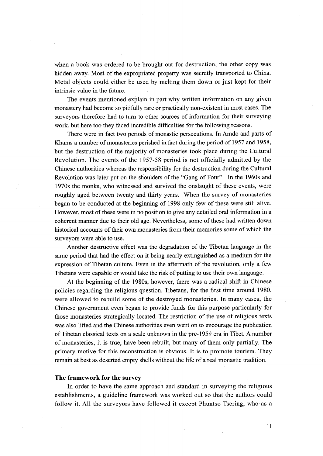when a book was ordered to be brought out for destruction, the other copy was hidden away. Most of the expropriated property was secretly transported to China. Metal objects could either be used by melting them down or just kept for their intrinsic value in the future.

The events mentioned explain in part why written information on any given monastery had become so pitifu11y rare or practically non-existent in most cases. The surveyors therefore had to turn to other sources of information for their surveying work, but here too they faced incredible difficulties for the following reasons.

There were in fact two periods of monastic persecutions. In Amdo and parts of Khams a number of monasteries perished in fact during the period of 1957 and 1958, but the destruction of the majority of monasteries took place during the Cultural Revolution. The events of the 1957-58 period is not officially admitted by the Chinese authorities whereas the responsibility for the destruction during the Cultural Revolution was later put on the shoulders of the "Gang of Four". In the 1960s and 1970s the monks, who witnessed and survived the onslaught of these events, were roughly aged between twenty and thirty years. When the survey of monasteries began to be conducted at the beginning of 1998 only few of these were still alive. However, most of these were in no position to give any detailed oral information in a coherent manner due to their old age. Nevertheless, some of these had written down historical accounts of their own monasteries from their memories some of which the surveyors were able to use.

Another destructive effect was the degradation of the Tibetan language in the same period that had the effect on it being nearly extinguished as a medium for the expression of Tibetan culture. Even in the aftermath of the revolution, only a few Tibetans were capable or would take the risk of putting to use their own language.

 At the beginning of the 1980s, however, there was a radical shift in Chinese policies regarding the religious question. Tibetans, for the first time around 1980, were allowed to rebuild some of the destroyed monasteries. In many cases, the Chinese government even began to provide funds for this purpose particulariy for those monasteries strategicaliy located. The restriction of the use of religious texts was also lifted and the Chinese authorities even went on to encourage the publication of Tibetan classical texts on a scale unknown in the pre-1959 era in Tibet. A number of monasteries, it is true, have been rebuilt, but many of them only panially. The primary motive for this reconstruction is obvious. It is to promote tourism. They remain at best as deserted empty shells without the life of a real monastic tradition.

# The framework for the survey

 In order to have the same approach and standard in surveying the religious establishments, a guideline framework was worked out so that the authors could follow it. All the surveyors have followed it except Phuntso Tsering, who as a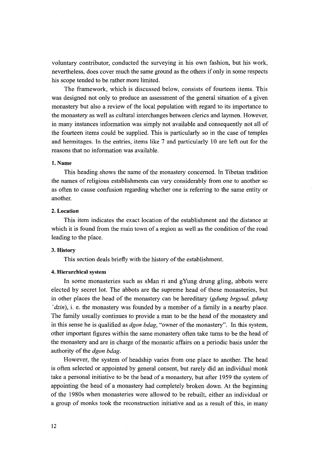voluntary contributor, conducted the surveying in his own fashion, but his work, nevertheless, does cover much the same ground as the others ifonly in some respects his scope tended to be rather more limited.

The framework, which is discussed below, consists of fourteen items. This was designed not only to produce an assessment of the general situation of a given monastery but also a review of the local population with regard to its importance to the monastery as well as cultural interchanges between clerics and laymen. However, in many instances information was simply not available and consequently not all of the fburteen items could be supplied. This is particularly so in the case of temples and hermitages. In the entries, items like  $7$  and particularly 10 are left out for the reasons that no information was available.

# 1. Name

 This heading shows the name of the monastery concerned. In Tibetan tradition the names of religious establislments can vary considerably from one to another so as often to cause confusion regarding whether one is referring to the same entity or another.

# 2. Location

 This item indicates the exact location of the establishment and the distance at which it is found from the main town of a region as well as the condition of the road leading to the place.

# 3. Histery

This section deals briefiy with the history of the establislment.

#### 4. Hierarchical system

In some monasteries such as sMan ri and gYung drung gling, abbots were elected by secret lot. The abbots are the supreme head of these monasteries, but in other places the head of the monastery can be hereditary (gdung brgyud, gdung  $'dzin$ ), i. e. the monastery was founded by a member of a family in a nearby place. The family usually continues to provide a man to be the head of the monastery and in this sense he is qualified as *dgon bdag*, "owner of the monastery". In this system, other important figures within the same monastery often take tums to be the head of the monastery and are in charge of the monastic affairs on a periodic basis under the authority of the dgon bdag.

 Howeyer, the system of headship varies from one place to another. The head is often selected or appointed by general consent, but rarely did an individual monk take a personal initiative to be the head of a monastery, but after 1959 the system of appointing the head of a monastery had completely broken down. At the beginning of the 1980s when monasteries were allowed to be rebuilt, either an individual or a group of monks took the reconstruction initiative and as a result of this, in many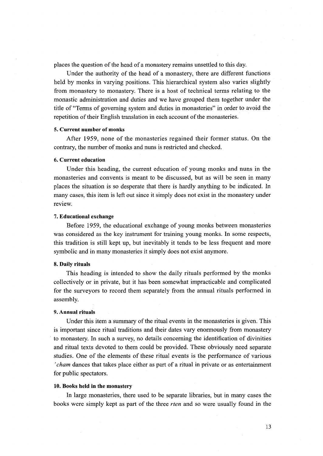places the question of the head of a monastery remains unsettled to this day.

 Under the authority of the head of a monastery, there are different functions held by monks in varying positions. This hierarchical system also varies slightly from monastery to monastery. There is a host of technical terms relating to the monastic administration and duties and we have grouped them together under the title of "Terms of governing system and duties in monasteries" in order to avoid the repetition of their English translation in each account of the monasteries.

#### 5. Current number of monks

After 1959, none of the monasteries regained their former status. On the contrary, the number of monks and nuns is restricted and checked.

#### 6. Current education

 Under this heading, the current education of young monks and nuns in the monasteries and convents is meant to be discussed, but as will be seen in many places the situation is so desperate that there is hardly anything to be indicated. In many cases, this item is left out since it simply does not exist in the monastery under review.

#### 7. Educational exchange

Before 1959, the educational exchange of young monks between monasteries was considered as the key instrument for training young monks. In some respects, this tradition is still kept up, but inevitably it tends to be less frequent and more symbolic and in many monasteries it simply does not exist anymore.

#### 8. Daily rituals

This heading is intended to show the daily rituals performed by the monks collectively or in private, but it has been somewhat impracticable and complicated for the surveyors to record them separately from the annual rituals performed in assembly.

# 9. Annual rituals

Under this item a summary of the ritual events in the monasteries is given. This is important since ritual traditions and their dates vary enormously from monastery to monastery. In such a survey, no details concerning the identification of divinities and ritual texts devoted to them could be provided. These obviously need separate studies. One of the elements of these ritual events is the performance of various 'cham dances that takes place either as part of a ritual in private or as entertainment for public spectators.

#### 10. Books held in the monastery

 In large monasteries, there used to be separate libraries, but in many cases the books were simply kept as part of the three *rten* and so were usually found in the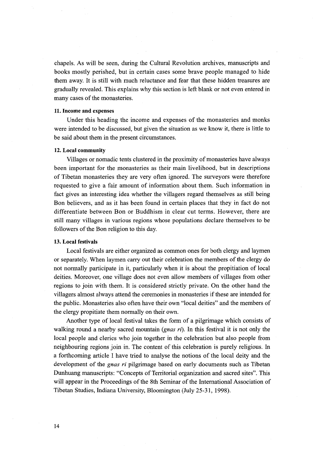chapels. As will be seen, during the Cultural Revolution archives, manuscripts and books mostly perished, but in certain cases some brave people managed to hide them away. It is still with much reluctance and fear that these hidden treasures are gradually revealed. This explains why this section is left blank or not even entered in many cases of the monasteries,

#### 11. Income and expenses

 Under this heading the income and expenses of the monasteries and monks were intended to be discussed, but given the situation as we kaow it, there is little to be said about them in the present circumstances.

#### 12. Local community

Villages or nomadic tents clustered in the proximity of monasteries have always been important for the monasteries as their main livelihood, but in descriptions of Tibetan monasteries they are very often ignored. The surveyors were therefore requested to give a fair amount of information about them. Such information in fact gives an interesting idea whether the villagers regard themselves as still being Bon believers, and as it has been found in certain places that they in fact do not differentiate between Bon or Buddhism in clear cut terms. However, there are still many villages in various regions whose populations declare themselves to be followers of the Bon religion to this day.

#### 13. Local festivals

 Local festivals are either organized as common ones for both clergy and laymen or separately. When laymen carry out their celebration the members of the clergy do not normally participate in it, particularly when it is about the propitiation of local deities. Moreover, one village does not even allow members of villages from other regions to join with them. It is considered strictly private. On the other hand the villagers almost always attend the ceremonies in monasteries if these are intended for the public. Monasteries also often have their own "local deities" and the members of the clergy propitiate them normally on their own.

Another type of local festival takes the form of a pilgrimage which consists of walking round a nearby sacred mountain *(gnas ri)*. In this festival it is not only the local people and clerics who join together in the celebration but also people from neighbouring regions join in. The content of this celebration is purely religious. In a forthcoming article I have tried to analyse the notions of the local deity and the development of the *gnas ri* pilgrimage based on early documents such as Tibetan Dunhuang manuscripts: "Concepts of Territorial organization and sacred sites". This will appear in the Proceedings of the 8th Seminar of the International Association of Tibetan Studies, Indiana University, Bloomington (July 25-31, 1998).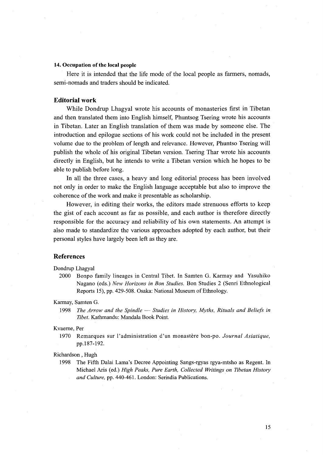#### 14. 0ccupation of the local people

 Here it is intended that the life mode of the local people as farmers, nomads, semi--nomads and traders should be indicated.

# Editorial work

 While Dondrup Lhagyal wrote his accounts of monasteries first in Tibetan and then translated them into English himself, Phuntsog Tsering wrote his accounts in Tibetan. Later an English translation of them was made by someone else. The introduction and epilogue sections of his work could not be included in the present volume due to the problem of length and relevance. However, Phuntso Tsering will publish the whole of his original Tibetan version. Tsering Thar wrote his accounts directly in English, but he intends to write a Tibetan version which he hopes to be able to publish before long.

 In all the three cases, a heavy and long editorial process has been involved not only in order to make the English language acceptable but also to improve the coherence of the work and make it presentable as scholarship.

However, in editing their works, the editors made strenuous efforts to keep the gist of each account as far as possible, and each author is therefore directly responsible for the accuracy and reliability of his own statements. An attempt is also made to standardize the various approaches adopted by each author, but their personal styles have largely been left as they are.

# References

Dondrup Lhagyal

 2000 Bonpo family lineages in Central Tibet. In Samten G. Karmay and Yasuhiko Nagano (eds.) New Horizons in Bon Studies. Bon Studies 2 (Senri Ethnological Reports 15), pp. 429-508. Osaka: National Museum of Ethnology.

Karmay, Samten G.

1998 The Arrow and the Spindle  $-$  Studies in History, Myths, Rituals and Beliefs in 7}bet. Kathmandu: Mandala Book Point.

#### Kvaerne, Per

1970 Remarques sur l'administration d'un monastère bon-po. Journal Asiatique, pp.187-192.

# Richardson , Hugh

 1998 The Fifth Dalai Lama's Decree Appointing Sangs-rgyas rgya-mtsho as Regent. In Michael Aris (ed.) High Peaks, Pure Earth, Collected Writings on Tibetan History and Culture, pp. 440-461. London: Serindia Publications.